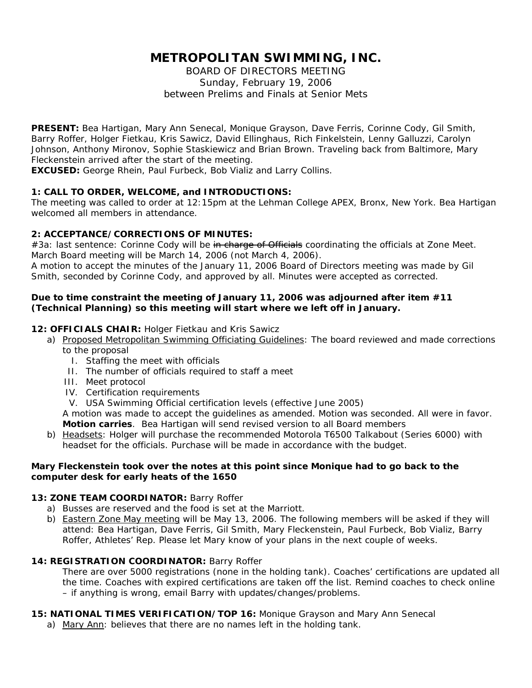# **METROPOLITAN SWIMMING, INC.**

BOARD OF DIRECTORS MEETING Sunday, February 19, 2006 between Prelims and Finals at Senior Mets

**PRESENT:** Bea Hartigan, Mary Ann Senecal, Monique Grayson, Dave Ferris, Corinne Cody, Gil Smith, Barry Roffer, Holger Fietkau, Kris Sawicz, David Ellinghaus, Rich Finkelstein, Lenny Galluzzi, Carolyn Johnson, Anthony Mironov, Sophie Staskiewicz and Brian Brown. Traveling back from Baltimore, Mary Fleckenstein arrived after the start of the meeting.

**EXCUSED:** George Rhein, Paul Furbeck, Bob Vializ and Larry Collins.

## **1: CALL TO ORDER, WELCOME, and INTRODUCTIONS:**

The meeting was called to order at 12:15pm at the Lehman College APEX, Bronx, New York. Bea Hartigan welcomed all members in attendance.

## **2: ACCEPTANCE/CORRECTIONS OF MINUTES:**

#3a: last sentence: Corinne Cody will be in charge of Officials coordinating the officials at Zone Meet. March Board meeting will be March 14, 2006 (not March 4, 2006).

A motion to accept the minutes of the January 11, 2006 Board of Directors meeting was made by Gil Smith, seconded by Corinne Cody, and approved by all. Minutes were accepted as corrected.

## *Due to time constraint the meeting of January 11, 2006 was adjourned after item #11 (Technical Planning) so this meeting will start where we left off in January.*

## **12: OFFICIALS CHAIR:** Holger Fietkau and Kris Sawicz

- a) Proposed Metropolitan Swimming Officiating Guidelines: The board reviewed and made corrections to the proposal
	- I. Staffing the meet with officials
	- II. The number of officials required to staff a meet
	- III. Meet protocol
	- IV. Certification requirements
	- V. USA Swimming Official certification levels (effective June 2005)

A motion was made to accept the guidelines as amended. Motion was seconded. All were in favor. **Motion carries**. Bea Hartigan will send revised version to all Board members

b) Headsets: Holger will purchase the recommended Motorola T6500 Talkabout (Series 6000) with headset for the officials. Purchase will be made in accordance with the budget.

## *Mary Fleckenstein took over the notes at this point since Monique had to go back to the computer desk for early heats of the 1650*

## **13: ZONE TEAM COORDINATOR:** Barry Roffer

- a) Busses are reserved and the food is set at the Marriott.
- b) Eastern Zone May meeting will be May 13, 2006. The following members will be asked if they will attend: Bea Hartigan, Dave Ferris, Gil Smith, Mary Fleckenstein, Paul Furbeck, Bob Vializ, Barry Roffer, Athletes' Rep. Please let Mary know of your plans in the next couple of weeks.

## **14: REGISTRATION COORDINATOR:** Barry Roffer

There are over 5000 registrations (none in the holding tank). Coaches' certifications are updated all the time. Coaches with expired certifications are taken off the list. Remind coaches to check online – if anything is wrong, email Barry with updates/changes/problems.

## **15: NATIONAL TIMES VERIFICATION/TOP 16:** Monique Grayson and Mary Ann Senecal

a) Mary Ann: believes that there are no names left in the holding tank.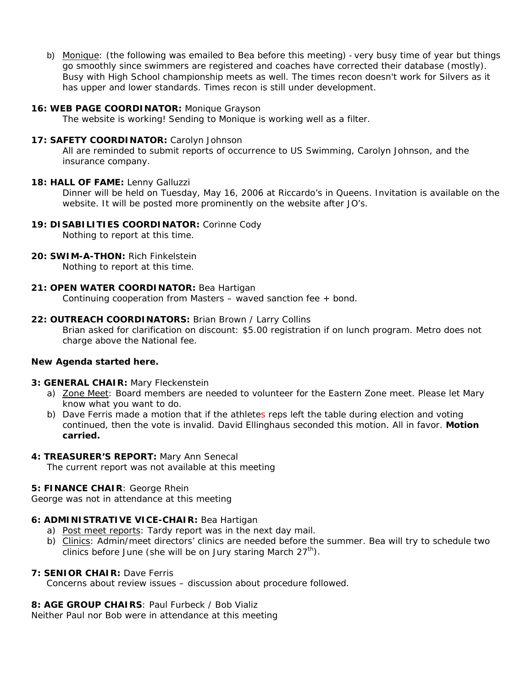b) Monique: (*the following was emailed to Bea before this meeting*) - very busy time of year but things go smoothly since swimmers are registered and coaches have corrected their database (mostly). Busy with High School championship meets as well. The times recon doesn't work for Silvers as it has upper and lower standards. Times recon is still under development.

### **16: WEB PAGE COORDINATOR:** Monique Grayson

The website is working! Sending to Monique is working well as a filter.

#### 17: SAFETY COORDINATOR: Carolyn Johnson

All are reminded to submit reports of occurrence to US Swimming, Carolyn Johnson, and the insurance company.

#### **18: HALL OF FAME:** Lenny Galluzzi

Dinner will be held on Tuesday, May 16, 2006 at Riccardo's in Queens. Invitation is available on the website. It will be posted more prominently on the website after JO's.

## **19: DISABILITIES COORDINATOR:** Corinne Cody

Nothing to report at this time.

#### **20: SWIM-A-THON:** Rich Finkelstein

Nothing to report at this time.

#### **21: OPEN WATER COORDINATOR:** Bea Hartigan

Continuing cooperation from Masters – waved sanction fee + bond.

#### **22: OUTREACH COORDINATORS:** Brian Brown / Larry Collins

Brian asked for clarification on discount: \$5.00 registration if on lunch program. Metro does not charge above the National fee.

## *New Agenda started here.*

#### **3: GENERAL CHAIR:** Mary Fleckenstein

- a) Zone Meet: Board members are needed to volunteer for the Eastern Zone meet. Please let Mary know what you want to do.
- b) Dave Ferris made a motion that if the athletes reps left the table during election and voting continued, then the vote is invalid. David Ellinghaus seconded this motion. All in favor. **Motion carried.**

#### **4: TREASURER'S REPORT:** Mary Ann Senecal

The current report was not available at this meeting

#### **5: FINANCE CHAIR**: George Rhein

George was not in attendance at this meeting

# **6: ADMINISTRATIVE VICE-CHAIR:** Bea Hartigan

- a) Post meet reports: Tardy report was in the next day mail.
- b) Clinics: Admin/meet directors' clinics are needed before the summer. Bea will try to schedule two clinics before June (she will be on Jury staring March  $27<sup>th</sup>$ ).

## **7: SENIOR CHAIR:** Dave Ferris

Concerns about review issues – discussion about procedure followed.

# **8: AGE GROUP CHAIRS**: Paul Furbeck / Bob Vializ

Neither Paul nor Bob were in attendance at this meeting